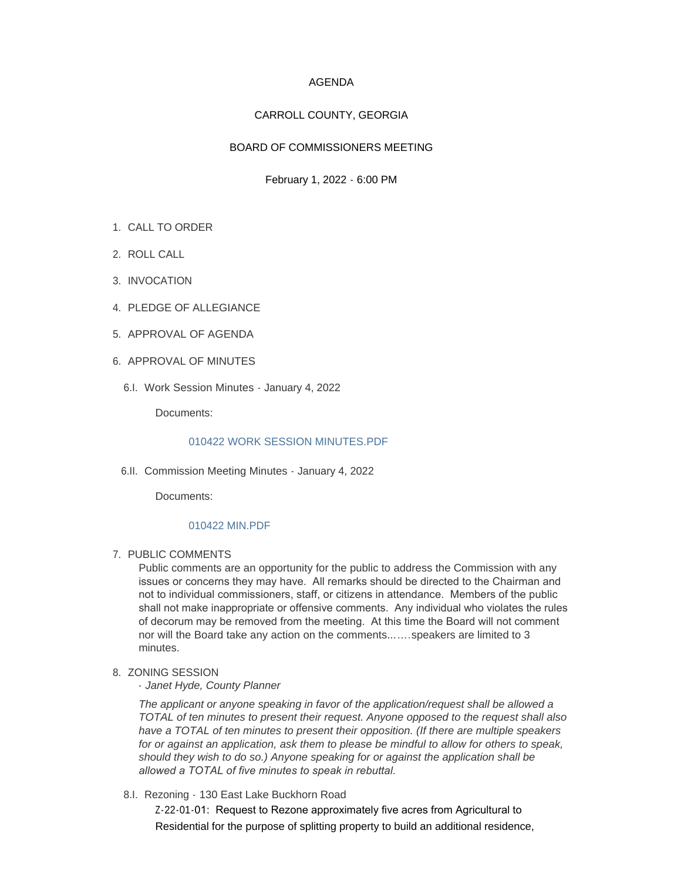## AGENDA

# CARROLL COUNTY, GEORGIA

# BOARD OF COMMISSIONERS MEETING

## February 1, 2022 - 6:00 PM

- 1. CALL TO ORDER
- 2. ROLL CALL
- 3. INVOCATION
- 4. PLEDGE OF ALLEGIANCE
- 5. APPROVAL OF AGENDA
- 6. APPROVAL OF MINUTES
	- 6.I. Work Session Minutes January 4, 2022

Documents:

## [010422 WORK SESSION MINUTES.PDF](http://www.carrollcountyga.com/AgendaCenter/ViewFile/Item/3285?fileID=8738)

6.II. Commission Meeting Minutes - January 4, 2022

Documents:

#### [010422 MIN.PDF](http://www.carrollcountyga.com/AgendaCenter/ViewFile/Item/3286?fileID=8737)

### 7. PUBLIC COMMENTS

Public comments are an opportunity for the public to address the Commission with any issues or concerns they may have. All remarks should be directed to the Chairman and not to individual commissioners, staff, or citizens in attendance. Members of the public shall not make inappropriate or offensive comments. Any individual who violates the rules of decorum may be removed from the meeting. At this time the Board will not comment nor will the Board take any action on the comments...….speakers are limited to 3 minutes.

# 8. ZONING SESSION

*- Janet Hyde, County Planner*

*The applicant or anyone speaking in favor of the application/request shall be allowed a TOTAL of ten minutes to present their request. Anyone opposed to the request shall also have a TOTAL of ten minutes to present their opposition. (If there are multiple speakers for or against an application, ask them to please be mindful to allow for others to speak, should they wish to do so.) Anyone speaking for or against the application shall be allowed a TOTAL of five minutes to speak in rebuttal.* 

8.I. Rezoning - 130 East Lake Buckhorn Road

Z-22-01-01: Request to Rezone approximately five acres from Agricultural to Residential for the purpose of splitting property to build an additional residence,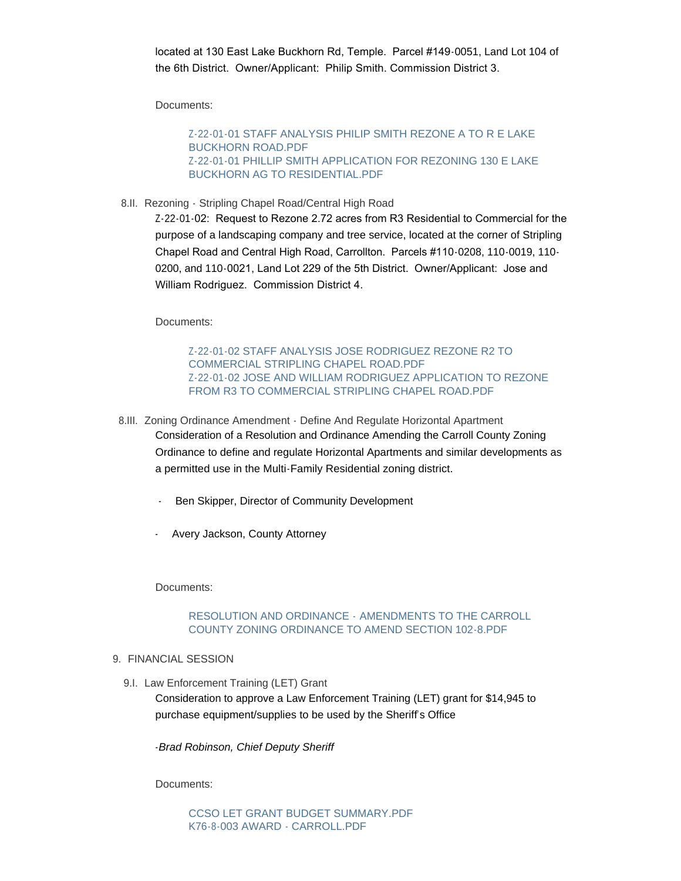located at 130 East Lake Buckhorn Rd, Temple. Parcel #149-0051, Land Lot 104 of the 6th District. Owner/Applicant: Philip Smith. Commission District 3.

Documents:

[Z-22-01-01 STAFF ANALYSIS PHILIP SMITH REZONE A TO R E LAKE](http://www.carrollcountyga.com/AgendaCenter/ViewFile/Item/3296?fileID=8753)  BUCKHORN ROAD.PDF [Z-22-01-01 PHILLIP SMITH APPLICATION FOR REZONING 130 E LAKE](http://www.carrollcountyga.com/AgendaCenter/ViewFile/Item/3296?fileID=8754)  BUCKHORN AG TO RESIDENTIAL.PDF

8.II. Rezoning - Stripling Chapel Road/Central High Road

Z-22-01-02: Request to Rezone 2.72 acres from R3 Residential to Commercial for the purpose of a landscaping company and tree service, located at the corner of Stripling Chapel Road and Central High Road, Carrollton. Parcels #110-0208, 110-0019, 110- 0200, and 110-0021, Land Lot 229 of the 5th District. Owner/Applicant: Jose and William Rodriguez. Commission District 4.

Documents:

[Z-22-01-02 STAFF ANALYSIS JOSE RODRIGUEZ REZONE R2 TO](http://www.carrollcountyga.com/AgendaCenter/ViewFile/Item/3297?fileID=8755)  COMMERCIAL STRIPLING CHAPEL ROAD.PDF [Z-22-01-02 JOSE AND WILLIAM RODRIGUEZ APPLICATION TO REZONE](http://www.carrollcountyga.com/AgendaCenter/ViewFile/Item/3297?fileID=8756)  FROM R3 TO COMMERCIAL STRIPLING CHAPEL ROAD.PDF

- 8.III. Zoning Ordinance Amendment Define And Regulate Horizontal Apartment Consideration of a Resolution and Ordinance Amending the Carroll County Zoning Ordinance to define and regulate Horizontal Apartments and similar developments as a permitted use in the Multi-Family Residential zoning district.
	- Ben Skipper, Director of Community Development
	- Avery Jackson, County Attorney

Documents:

RESOLUTION AND ORDINANCE - AMENDMENTS TO THE CARROLL [COUNTY ZONING ORDINANCE TO AMEND SECTION 102-8.PDF](http://www.carrollcountyga.com/AgendaCenter/ViewFile/Item/3298?fileID=8757)

### FINANCIAL SESSION 9.

9.I. Law Enforcement Training (LET) Grant

Consideration to approve a Law Enforcement Training (LET) grant for \$14,945 to purchase equipment/supplies to be used by the Sheriff's Office

*-Brad Robinson, Chief Deputy Sheriff*

Documents:

[CCSO LET GRANT BUDGET SUMMARY.PDF](http://www.carrollcountyga.com/AgendaCenter/ViewFile/Item/3288?fileID=8739) [K76-8-003 AWARD - CARROLL.PDF](http://www.carrollcountyga.com/AgendaCenter/ViewFile/Item/3288?fileID=8740)